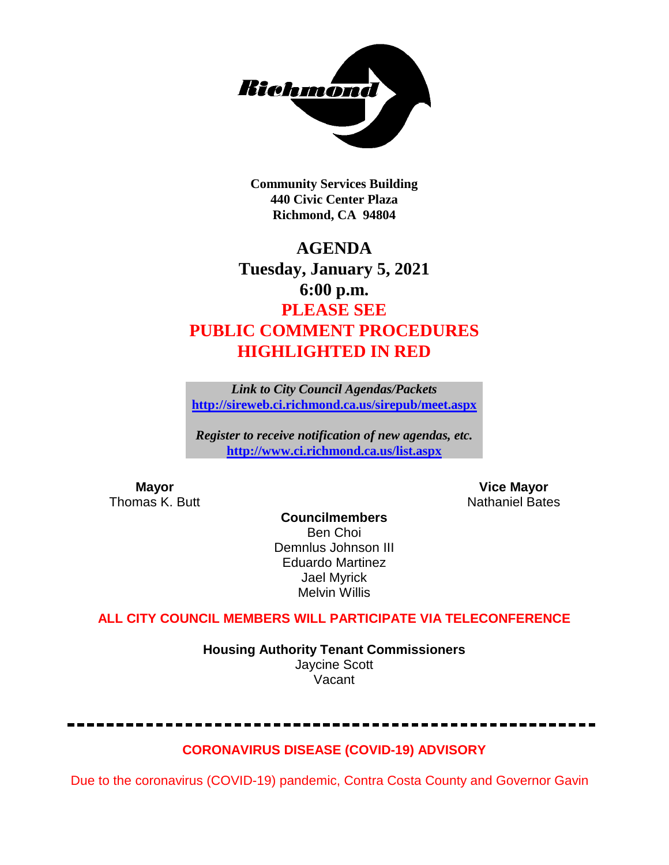

**Community Services Building 440 Civic Center Plaza Richmond, CA 94804**

## **AGENDA Tuesday, January 5, 2021 6:00 p.m. PLEASE SEE PUBLIC COMMENT PROCEDURES HIGHLIGHTED IN RED**

*Link to City Council Agendas/Packets* **<http://sireweb.ci.richmond.ca.us/sirepub/meet.aspx>**

*Register to receive notification of new agendas, etc.* **<http://www.ci.richmond.ca.us/list.aspx>**

**Mayor Mayor Wice Mayor Vice Mayor Vice Mayor Vice Mayor Vice Mayor Vice Mayor Vice Mayor Vice Mayor Vice Mayor Vice Mayor Vice Mayor Vice Mayor Vice Mayor Vice Mayor Vice Mayor Vice Mayor** Nathaniel Bates

**Councilmembers** Ben Choi Demnlus Johnson III Eduardo Martinez Jael Myrick Melvin Willis

### **ALL CITY COUNCIL MEMBERS WILL PARTICIPATE VIA TELECONFERENCE**

**Housing Authority Tenant Commissioners** Jaycine Scott Vacant

### **CORONAVIRUS DISEASE (COVID-19) ADVISORY**

Due to the coronavirus (COVID-19) pandemic, Contra Costa County and Governor Gavin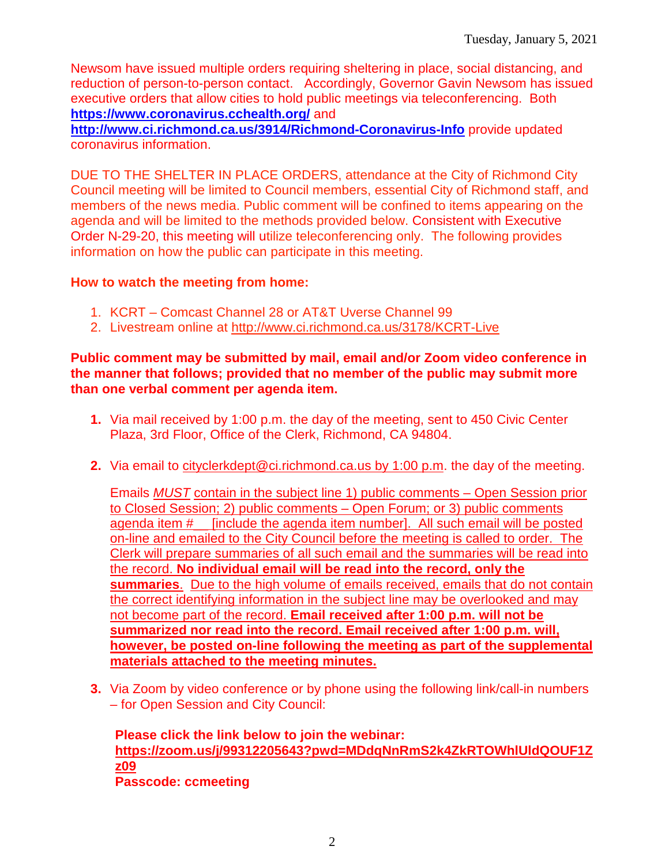Newsom have issued multiple orders requiring sheltering in place, social distancing, and reduction of person-to-person contact. Accordingly, Governor Gavin Newsom has issued executive orders that allow cities to hold public meetings via teleconferencing. Both **<https://www.coronavirus.cchealth.org/>** and

**<http://www.ci.richmond.ca.us/3914/Richmond-Coronavirus-Info>** provide updated coronavirus information.

DUE TO THE SHELTER IN PLACE ORDERS, attendance at the City of Richmond City Council meeting will be limited to Council members, essential City of Richmond staff, and members of the news media. Public comment will be confined to items appearing on the agenda and will be limited to the methods provided below. Consistent with Executive Order N-29-20, this meeting will utilize teleconferencing only. The following provides information on how the public can participate in this meeting.

#### **How to watch the meeting from home:**

- 1. KCRT Comcast Channel 28 or AT&T Uverse Channel 99
- 2. Livestream online at<http://www.ci.richmond.ca.us/3178/KCRT-Live>

#### **Public comment may be submitted by mail, email and/or Zoom video conference in the manner that follows; provided that no member of the public may submit more than one verbal comment per agenda item.**

- **1.** Via mail received by 1:00 p.m. the day of the meeting, sent to 450 Civic Center Plaza, 3rd Floor, Office of the Clerk, Richmond, CA 94804.
- **2.** Via email to [cityclerkdept@ci.richmond.ca.us](mailto:cityclerkdept@ci.richmond.ca.us) by 1:00 p.m. the day of the meeting.

Emails *MUST* contain in the subject line 1) public comments – Open Session prior to Closed Session; 2) public comments – Open Forum; or 3) public comments agenda item #\_\_ [include the agenda item number]. All such email will be posted on-line and emailed to the City Council before the meeting is called to order. The Clerk will prepare summaries of all such email and the summaries will be read into the record. **No individual email will be read into the record, only the summaries**. Due to the high volume of emails received, emails that do not contain the correct identifying information in the subject line may be overlooked and may not become part of the record. **Email received after 1:00 p.m. will not be summarized nor read into the record. Email received after 1:00 p.m. will, however, be posted on-line following the meeting as part of the supplemental materials attached to the meeting minutes.**

**3.** Via Zoom by video conference or by phone using the following link/call-in numbers – for Open Session and City Council:

**Please click the link below to join the webinar: [https://zoom.us/j/99312205643?pwd=MDdqNnRmS2k4ZkRTOWhlUldQOUF1Z](https://zoom.us/j/99312205643?pwd=MDdqNnRmS2k4ZkRTOWhlUldQOUF1Zz09) [z09](https://zoom.us/j/99312205643?pwd=MDdqNnRmS2k4ZkRTOWhlUldQOUF1Zz09) Passcode: ccmeeting**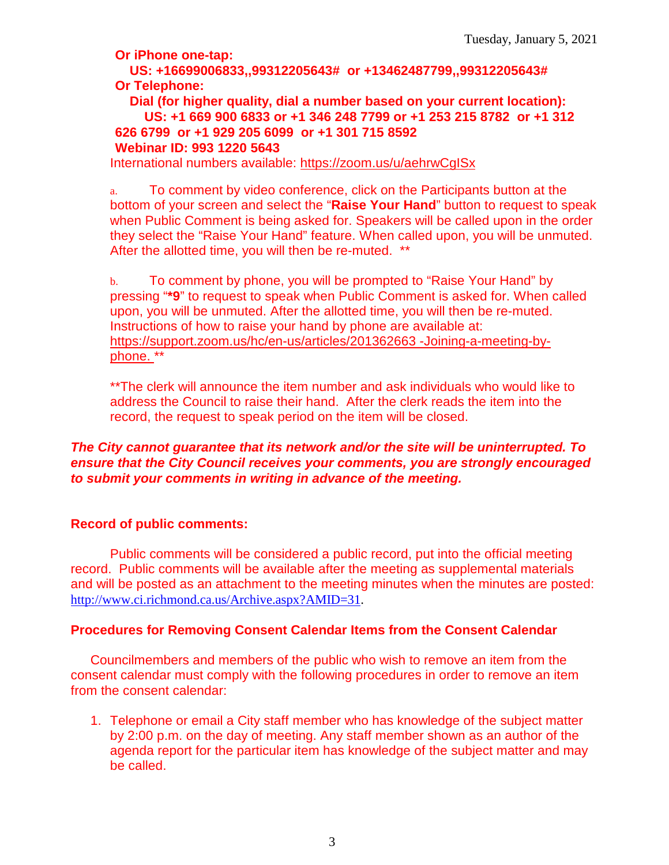**Or iPhone one-tap:**

**US: +16699006833,,99312205643# or +13462487799,,99312205643# Or Telephone:**

**Dial (for higher quality, dial a number based on your current location): US: +1 669 900 6833 or +1 346 248 7799 or +1 253 215 8782 or +1 312 626 6799 or +1 929 205 6099 or +1 301 715 8592 Webinar ID: 993 1220 5643**

International numbers available:<https://zoom.us/u/aehrwCgISx>

a. To comment by video conference, click on the Participants button at the bottom of your screen and select the "**Raise Your Hand**" button to request to speak when Public Comment is being asked for. Speakers will be called upon in the order they select the "Raise Your Hand" feature. When called upon, you will be unmuted. After the allotted time, you will then be re-muted. \*\*

b. To comment by phone, you will be prompted to "Raise Your Hand" by pressing "**\*9**" to request to speak when Public Comment is asked for. When called upon, you will be unmuted. After the allotted time, you will then be re-muted. Instructions of how to raise your hand by phone are available at: [https://support.zoom.us/hc/en-us/articles/201362663 -Joining-a-meeting-by](https://support.zoom.us/hc/en-us/articles/201362663)[phone.](https://support.zoom.us/hc/en-us/articles/201362663) \*\*

\*\*The clerk will announce the item number and ask individuals who would like to address the Council to raise their hand. After the clerk reads the item into the record, the request to speak period on the item will be closed.

#### *The City cannot guarantee that its network and/or the site will be uninterrupted. To ensure that the City Council receives your comments, you are strongly encouraged to submit your comments in writing in advance of the meeting.*

#### **Record of public comments:**

Public comments will be considered a public record, put into the official meeting record. Public comments will be available after the meeting as supplemental materials and will be posted as an attachment to the meeting minutes when the minutes are posted: [http://www.ci.richmond.ca.us/Archive.aspx?AMID=31.](http://www.ci.richmond.ca.us/Archive.aspx?AMID=31)

#### **Procedures for Removing Consent Calendar Items from the Consent Calendar**

Councilmembers and members of the public who wish to remove an item from the consent calendar must comply with the following procedures in order to remove an item from the consent calendar:

1. Telephone or email a City staff member who has knowledge of the subject matter by 2:00 p.m. on the day of meeting. Any staff member shown as an author of the agenda report for the particular item has knowledge of the subject matter and may be called.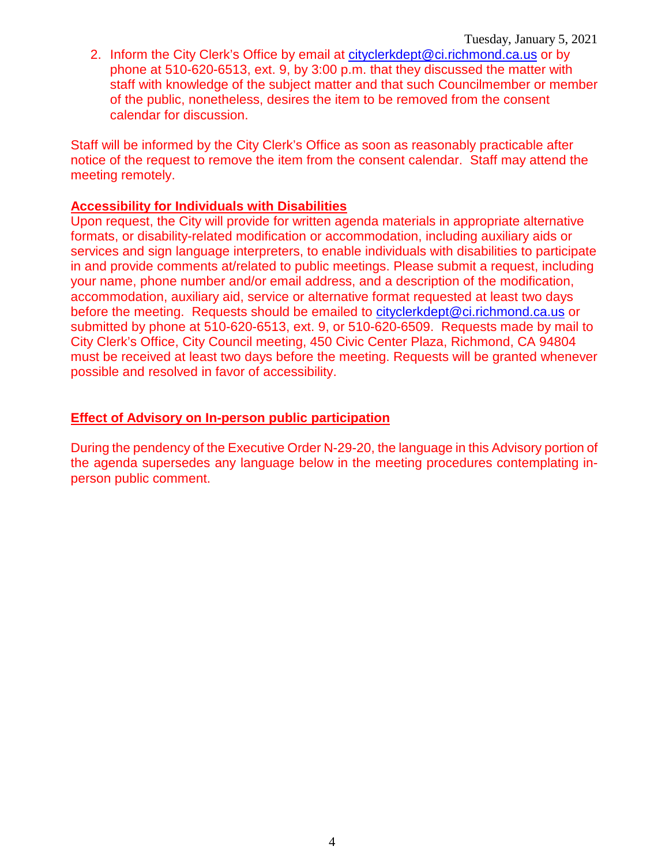2. Inform the City Clerk's Office by email at [cityclerkdept@ci.richmond.ca.us](mailto:cityclerkdept@ci.richmond.ca.us) or by phone at 510-620-6513, ext. 9, by 3:00 p.m. that they discussed the matter with staff with knowledge of the subject matter and that such Councilmember or member of the public, nonetheless, desires the item to be removed from the consent calendar for discussion.

Staff will be informed by the City Clerk's Office as soon as reasonably practicable after notice of the request to remove the item from the consent calendar. Staff may attend the meeting remotely.

#### **Accessibility for Individuals with Disabilities**

Upon request, the City will provide for written agenda materials in appropriate alternative formats, or disability-related modification or accommodation, including auxiliary aids or services and sign language interpreters, to enable individuals with disabilities to participate in and provide comments at/related to public meetings. Please submit a request, including your name, phone number and/or email address, and a description of the modification, accommodation, auxiliary aid, service or alternative format requested at least two days before the meeting. Requests should be emailed to [cityclerkdept@ci.richmond.ca.us](mailto:cityclerkdept@ci.richmond.ca.us) or submitted by phone at 510-620-6513, ext. 9, or 510-620-6509. Requests made by mail to City Clerk's Office, City Council meeting, 450 Civic Center Plaza, Richmond, CA 94804 must be received at least two days before the meeting. Requests will be granted whenever possible and resolved in favor of accessibility.

#### **Effect of Advisory on In-person public participation**

During the pendency of the Executive Order N-29-20, the language in this Advisory portion of the agenda supersedes any language below in the meeting procedures contemplating inperson public comment.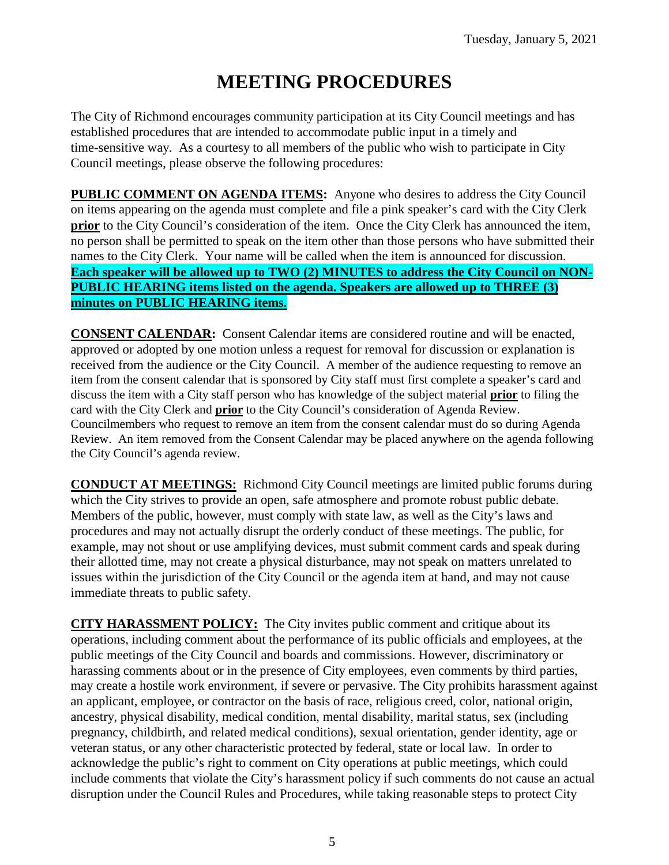# **MEETING PROCEDURES**

The City of Richmond encourages community participation at its City Council meetings and has established procedures that are intended to accommodate public input in a timely and time-sensitive way. As a courtesy to all members of the public who wish to participate in City Council meetings, please observe the following procedures:

**PUBLIC COMMENT ON AGENDA ITEMS:** Anyone who desires to address the City Council on items appearing on the agenda must complete and file a pink speaker's card with the City Clerk **prior** to the City Council's consideration of the item. Once the City Clerk has announced the item, no person shall be permitted to speak on the item other than those persons who have submitted their names to the City Clerk. Your name will be called when the item is announced for discussion. **Each speaker will be allowed up to TWO (2) MINUTES to address the City Council on NON-PUBLIC HEARING items listed on the agenda. Speakers are allowed up to THREE (3) minutes on PUBLIC HEARING items.**

**CONSENT CALENDAR:** Consent Calendar items are considered routine and will be enacted, approved or adopted by one motion unless a request for removal for discussion or explanation is received from the audience or the City Council. A member of the audience requesting to remove an item from the consent calendar that is sponsored by City staff must first complete a speaker's card and discuss the item with a City staff person who has knowledge of the subject material **prior** to filing the card with the City Clerk and **prior** to the City Council's consideration of Agenda Review. Councilmembers who request to remove an item from the consent calendar must do so during Agenda Review. An item removed from the Consent Calendar may be placed anywhere on the agenda following the City Council's agenda review.

**CONDUCT AT MEETINGS:** Richmond City Council meetings are limited public forums during which the City strives to provide an open, safe atmosphere and promote robust public debate. Members of the public, however, must comply with state law, as well as the City's laws and procedures and may not actually disrupt the orderly conduct of these meetings. The public, for example, may not shout or use amplifying devices, must submit comment cards and speak during their allotted time, may not create a physical disturbance, may not speak on matters unrelated to issues within the jurisdiction of the City Council or the agenda item at hand, and may not cause immediate threats to public safety.

**CITY HARASSMENT POLICY:** The City invites public comment and critique about its operations, including comment about the performance of its public officials and employees, at the public meetings of the City Council and boards and commissions. However, discriminatory or harassing comments about or in the presence of City employees, even comments by third parties, may create a hostile work environment, if severe or pervasive. The City prohibits harassment against an applicant, employee, or contractor on the basis of race, religious creed, color, national origin, ancestry, physical disability, medical condition, mental disability, marital status, sex (including pregnancy, childbirth, and related medical conditions), sexual orientation, gender identity, age or veteran status, or any other characteristic protected by federal, state or local law. In order to acknowledge the public's right to comment on City operations at public meetings, which could include comments that violate the City's harassment policy if such comments do not cause an actual disruption under the Council Rules and Procedures, while taking reasonable steps to protect City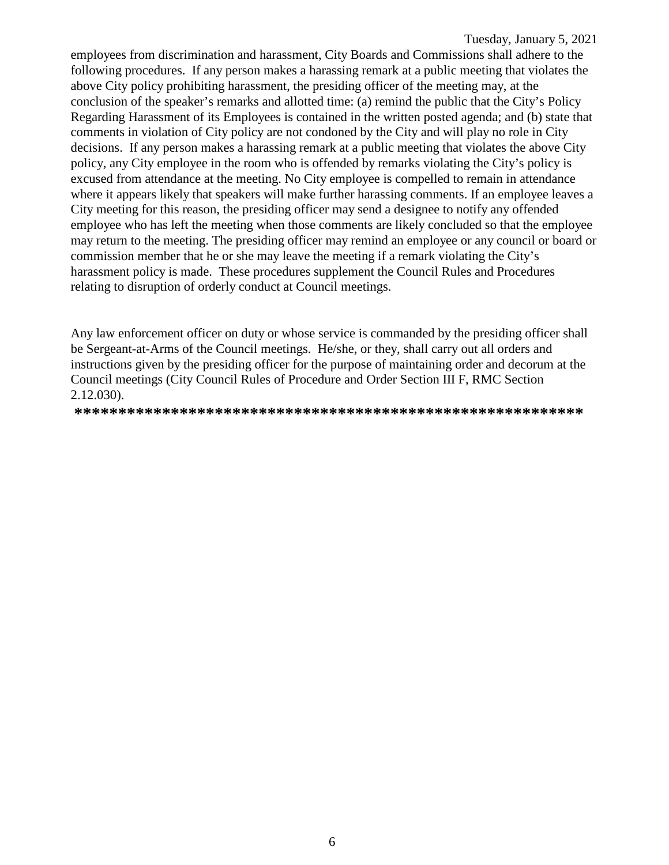employees from discrimination and harassment, City Boards and Commissions shall adhere to the following procedures. If any person makes a harassing remark at a public meeting that violates the above City policy prohibiting harassment, the presiding officer of the meeting may, at the conclusion of the speaker's remarks and allotted time: (a) remind the public that the City's Policy Regarding Harassment of its Employees is contained in the written posted agenda; and (b) state that comments in violation of City policy are not condoned by the City and will play no role in City decisions. If any person makes a harassing remark at a public meeting that violates the above City policy, any City employee in the room who is offended by remarks violating the City's policy is excused from attendance at the meeting. No City employee is compelled to remain in attendance where it appears likely that speakers will make further harassing comments. If an employee leaves a City meeting for this reason, the presiding officer may send a designee to notify any offended employee who has left the meeting when those comments are likely concluded so that the employee may return to the meeting. The presiding officer may remind an employee or any council or board or commission member that he or she may leave the meeting if a remark violating the City's harassment policy is made. These procedures supplement the Council Rules and Procedures relating to disruption of orderly conduct at Council meetings.

Any law enforcement officer on duty or whose service is commanded by the presiding officer shall be Sergeant-at-Arms of the Council meetings. He/she, or they, shall carry out all orders and instructions given by the presiding officer for the purpose of maintaining order and decorum at the Council meetings (City Council Rules of Procedure and Order Section III F, RMC Section  $2.12.030$ ).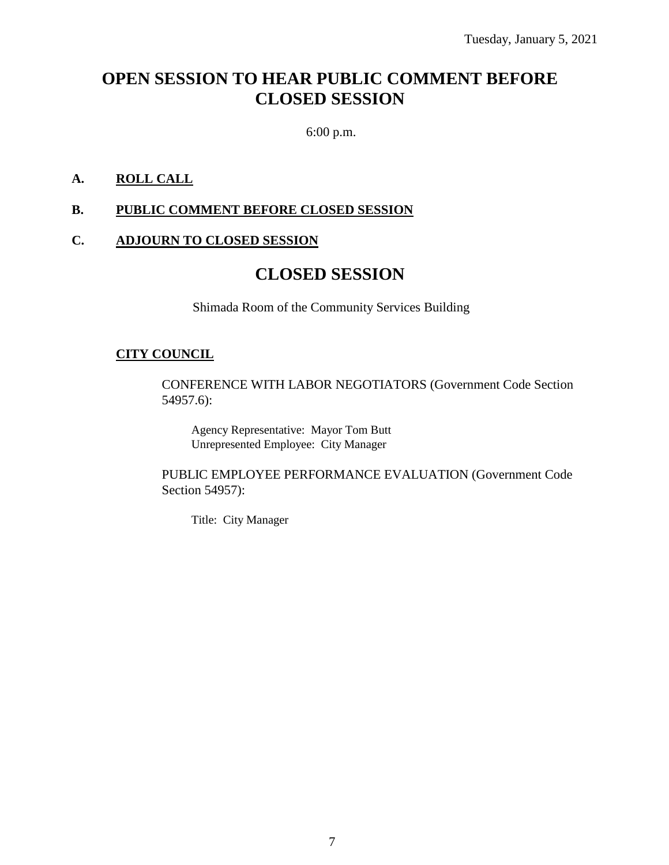## **OPEN SESSION TO HEAR PUBLIC COMMENT BEFORE CLOSED SESSION**

6:00 p.m.

### **A. ROLL CALL**

#### **B. PUBLIC COMMENT BEFORE CLOSED SESSION**

#### **C. ADJOURN TO CLOSED SESSION**

## **CLOSED SESSION**

Shimada Room of the Community Services Building

#### **CITY COUNCIL**

CONFERENCE WITH LABOR NEGOTIATORS (Government Code Section 54957.6):

Agency Representative: Mayor Tom Butt Unrepresented Employee: City Manager

PUBLIC EMPLOYEE PERFORMANCE EVALUATION (Government Code Section 54957):

Title: City Manager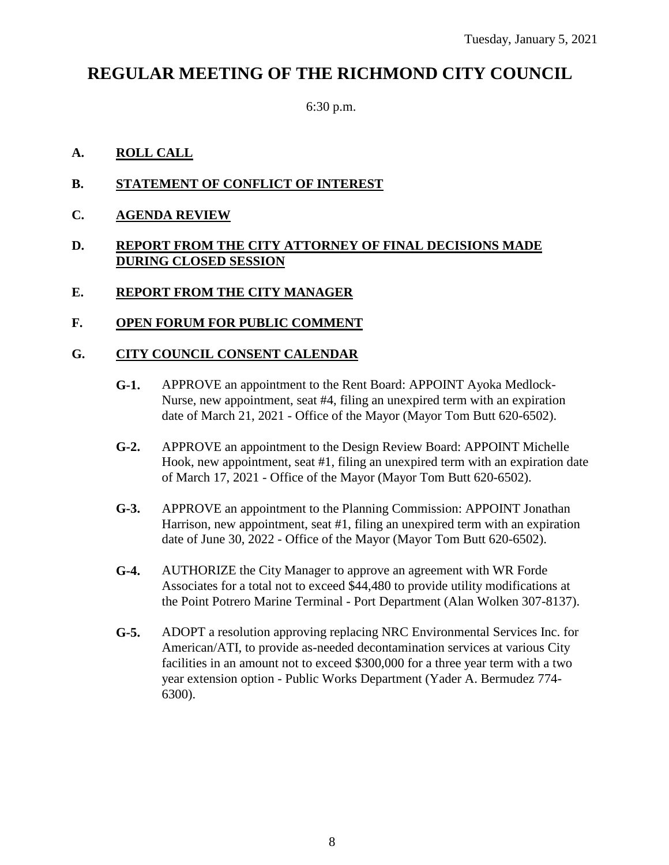## **REGULAR MEETING OF THE RICHMOND CITY COUNCIL**

6:30 p.m.

#### **A. ROLL CALL**

- **B. STATEMENT OF CONFLICT OF INTEREST**
- **C. AGENDA REVIEW**

#### **D. REPORT FROM THE CITY ATTORNEY OF FINAL DECISIONS MADE DURING CLOSED SESSION**

**E. REPORT FROM THE CITY MANAGER**

#### **F. OPEN FORUM FOR PUBLIC COMMENT**

#### **G. CITY COUNCIL CONSENT CALENDAR**

- **G-1.** APPROVE an appointment to the Rent Board: APPOINT Ayoka Medlock-Nurse, new appointment, seat #4, filing an unexpired term with an expiration date of March 21, 2021 - Office of the Mayor (Mayor Tom Butt 620-6502).
- **G-2.** APPROVE an appointment to the Design Review Board: APPOINT Michelle Hook, new appointment, seat #1, filing an unexpired term with an expiration date of March 17, 2021 - Office of the Mayor (Mayor Tom Butt 620-6502).
- **G-3.** APPROVE an appointment to the Planning Commission: APPOINT Jonathan Harrison, new appointment, seat #1, filing an unexpired term with an expiration date of June 30, 2022 - Office of the Mayor (Mayor Tom Butt 620-6502).
- **G-4.** AUTHORIZE the City Manager to approve an agreement with WR Forde Associates for a total not to exceed \$44,480 to provide utility modifications at the Point Potrero Marine Terminal - Port Department (Alan Wolken 307-8137).
- **G-5.** ADOPT a resolution approving replacing NRC Environmental Services Inc. for American/ATI, to provide as-needed decontamination services at various City facilities in an amount not to exceed \$300,000 for a three year term with a two year extension option - Public Works Department (Yader A. Bermudez 774- 6300).